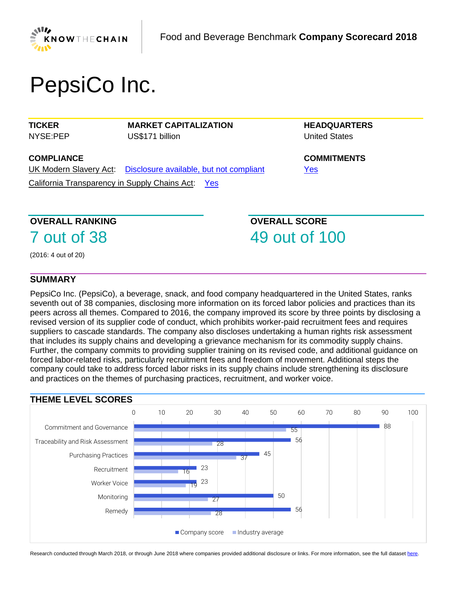

# PepsiCo Inc.

**TICKER** NYSE:PEP **MARKET CAPITALIZATION** US\$171 billion

**HEADQUARTERS** United States

**COMPLIANCE**

UK Modern Slavery Act: [Disclosure available, but not compliant](https://www.business-humanrights.org/sites/default/files/%28%281%29%292018%20KTC%20F%26B%20Non-scored%20Research%20-%20PepsiCo.pdf) California Transparency in Supply Chains Act: [Yes](https://www.business-humanrights.org/sites/default/files/%28%281%29%292018%20KTC%20F%26B%20Non-scored%20Research%20-%20PepsiCo.pdf)

**COMMITMENTS** [Yes](https://www.business-humanrights.org/sites/default/files/%28%281%29%292018%20KTC%20F%26B%20Non-scored%20Research%20-%20PepsiCo.pdf)

## **OVERALL RANKING**

7 out of 38

**OVERALL SCORE** 49 out of 100

(2016: 4 out of 20)

## **SUMMARY**

PepsiCo Inc. (PepsiCo), a beverage, snack, and food company headquartered in the United States, ranks seventh out of 38 companies, disclosing more information on its forced labor policies and practices than its peers across all themes. Compared to 2016, the company improved its score by three points by disclosing a revised version of its supplier code of conduct, which prohibits worker-paid recruitment fees and requires suppliers to cascade standards. The company also discloses undertaking a human rights risk assessment that includes its supply chains and developing a grievance mechanism for its commodity supply chains. Further, the company commits to providing supplier training on its revised code, and additional guidance on forced labor-related risks, particularly recruitment fees and freedom of movement. Additional steps the company could take to address forced labor risks in its supply chains include strengthening its disclosure and practices on the themes of purchasing practices, recruitment, and worker voice.



Research conducted through March 2018, or through June 2018 where companies provided additional disclosure or links. For more information, see the full datase[t here.](https://knowthechain.org/benchmark-downloads/)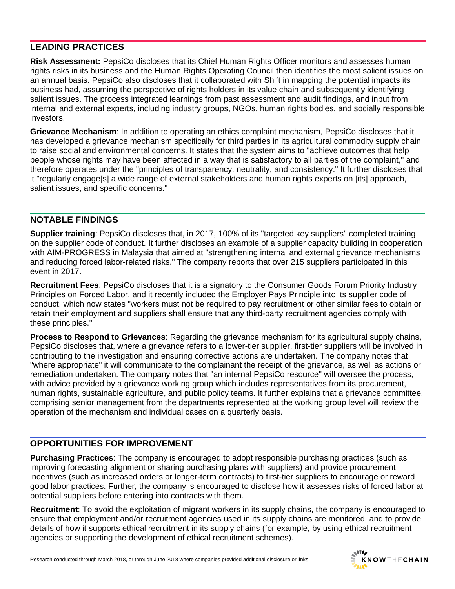## **LEADING PRACTICES**

**Risk Assessment:** PepsiCo discloses that its Chief Human Rights Officer monitors and assesses human rights risks in its business and the Human Rights Operating Council then identifies the most salient issues on an annual basis. PepsiCo also discloses that it collaborated with Shift in mapping the potential impacts its business had, assuming the perspective of rights holders in its value chain and subsequently identifying salient issues. The process integrated learnings from past assessment and audit findings, and input from internal and external experts, including industry groups, NGOs, human rights bodies, and socially responsible investors.

**Grievance Mechanism**: In addition to operating an ethics complaint mechanism, PepsiCo discloses that it has developed a grievance mechanism specifically for third parties in its agricultural commodity supply chain to raise social and environmental concerns. It states that the system aims to "achieve outcomes that help people whose rights may have been affected in a way that is satisfactory to all parties of the complaint," and therefore operates under the "principles of transparency, neutrality, and consistency." It further discloses that it "regularly engage[s] a wide range of external stakeholders and human rights experts on [its] approach, salient issues, and specific concerns."

## **NOTABLE FINDINGS**

**Supplier training**: PepsiCo discloses that, in 2017, 100% of its "targeted key suppliers" completed training on the supplier code of conduct. It further discloses an example of a supplier capacity building in cooperation with AIM-PROGRESS in Malaysia that aimed at "strengthening internal and external grievance mechanisms and reducing forced labor-related risks." The company reports that over 215 suppliers participated in this event in 2017.

**Recruitment Fees**: PepsiCo discloses that it is a signatory to the Consumer Goods Forum Priority Industry Principles on Forced Labor, and it recently included the Employer Pays Principle into its supplier code of conduct, which now states "workers must not be required to pay recruitment or other similar fees to obtain or retain their employment and suppliers shall ensure that any third-party recruitment agencies comply with these principles."

**Process to Respond to Grievances**: Regarding the grievance mechanism for its agricultural supply chains, PepsiCo discloses that, where a grievance refers to a lower-tier supplier, first-tier suppliers will be involved in contributing to the investigation and ensuring corrective actions are undertaken. The company notes that "where appropriate" it will communicate to the complainant the receipt of the grievance, as well as actions or remediation undertaken. The company notes that "an internal PepsiCo resource" will oversee the process, with advice provided by a grievance working group which includes representatives from its procurement, human rights, sustainable agriculture, and public policy teams. It further explains that a grievance committee, comprising senior management from the departments represented at the working group level will review the operation of the mechanism and individual cases on a quarterly basis.

## **OPPORTUNITIES FOR IMPROVEMENT**

**Purchasing Practices**: The company is encouraged to adopt responsible purchasing practices (such as improving forecasting alignment or sharing purchasing plans with suppliers) and provide procurement incentives (such as increased orders or longer-term contracts) to first-tier suppliers to encourage or reward good labor practices. Further, the company is encouraged to disclose how it assesses risks of forced labor at potential suppliers before entering into contracts with them.

**Recruitment**: To avoid the exploitation of migrant workers in its supply chains, the company is encouraged to ensure that employment and/or recruitment agencies used in its supply chains are monitored, and to provide details of how it supports ethical recruitment in its supply chains (for example, by using ethical recruitment agencies or supporting the development of ethical recruitment schemes).